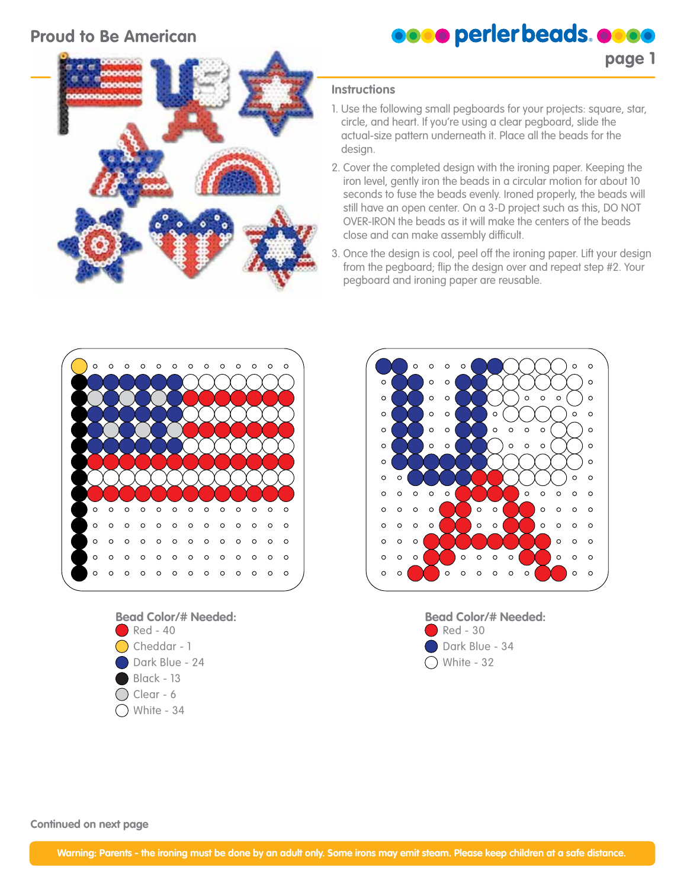## **Proud to Be American**



**page 1**



#### **Instructions**

- 1. Use the following small pegboards for your projects: square, star, circle, and heart. If you're using a clear pegboard, slide the actual-size pattern underneath it. Place all the beads for the design.
- 2. Cover the completed design with the ironing paper. Keeping the iron level, gently iron the beads in a circular motion for about 10 seconds to fuse the beads evenly. Ironed properly, the beads will still have an open center. On a 3-D project such as this, DO NOT OVER-IRON the beads as it will make the centers of the beads close and can make assembly difficult.
- 3. Once the design is cool, peel off the ironing paper. Lift your design from the pegboard; flip the design over and repeat step #2. Your pegboard and ironing paper are reusable.









**Continued on next page**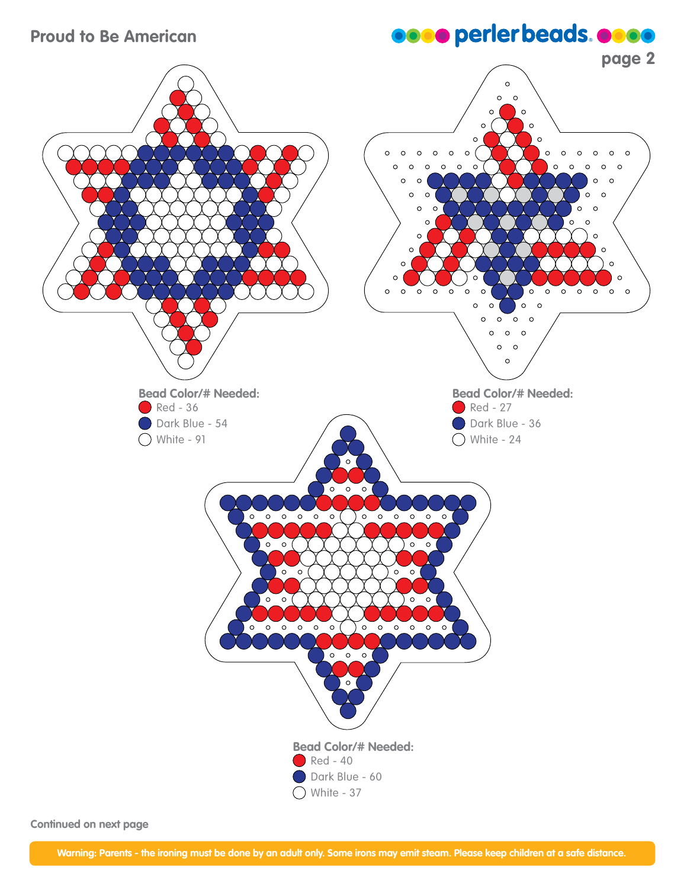## **Proud to Be American**

# **OOOO** perler beads. OOOO



**Continued on next page**